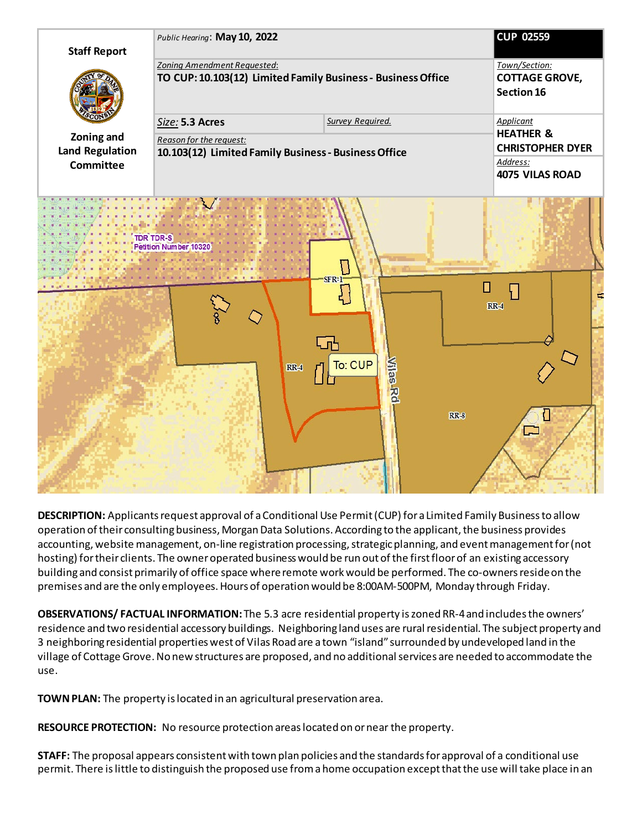

**DESCRIPTION:** Applicantsrequest approval of a Conditional Use Permit (CUP) for a Limited Family Business to allow operation oftheir consultingbusiness, Morgan Data Solutions. According to the applicant, the business provides accounting, website management, on-line registration processing, strategic planning, and event management for (not hosting) for their clients. The owner operated business would be run out of the first floor of an existing accessory building and consist primarily of office space where remote work would be performed. The co-owners reside on the premises and are the only employees. Hours of operation would be 8:00AM-500PM, Monday through Friday.

**OBSERVATIONS/ FACTUAL INFORMATION:** The 5.3 acre residential property is zoned RR-4 and includes the owners' residence and two residential accessory buildings. Neighboring land uses are rural residential. The subject property and 3 neighboring residential properties west of Vilas Road are a town "island" surrounded by undeveloped land in the village of Cottage Grove. No new structures are proposed, and no additional services are needed to accommodate the use.

**TOWN PLAN:** The property is located in an agricultural preservation area.

**RESOURCE PROTECTION:** No resource protection areas located on or near the property.

**STAFF:** The proposal appears consistent with town plan policies and the standards for approval of a conditional use permit. There is little to distinguish the proposed use from ahome occupation except that the use will take place in an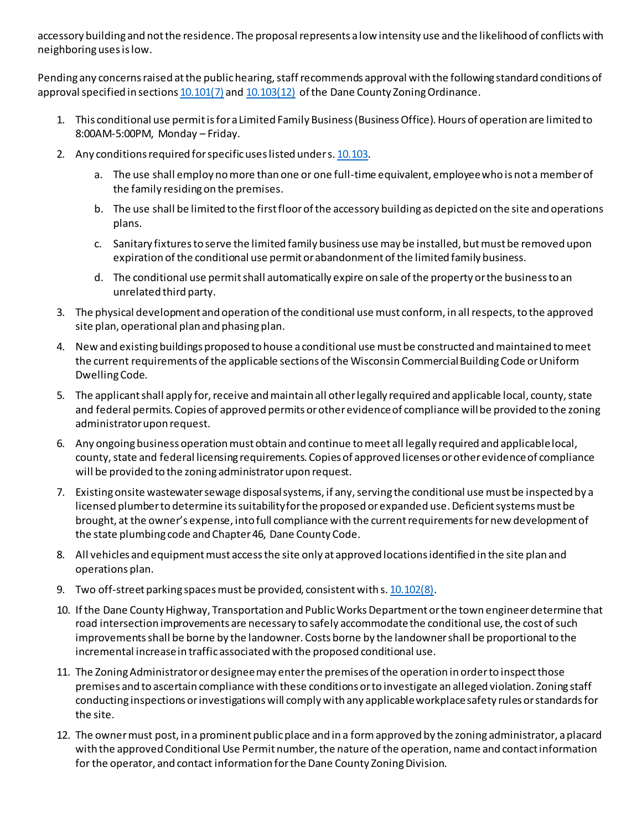accessory building and not the residence. The proposal represents a low intensity use and the likelihood of conflicts with neighboring uses is low.

Pending any concerns raised at the public hearing, staff recommends approval with the following standard conditions of approval specified in section[s 10.101\(7\)](https://www.danecountyplanning.com/documents/pdf/Zoning-Information/Chapter-10-Revised.pdf#page=68) an[d 10.103\(12\)](https://www.danecountyplanning.com/documents/pdf/Zoning-Information/Chapter-10-Revised.pdf#page=104) of the Dane County Zoning Ordinance.

- 1. This conditional use permit is for a Limited Family Business (Business Office). Hours of operation are limited to 8:00AM-5:00PM, Monday – Friday.
- 2. Any conditions required for specific uses listed under s[. 10.103.](https://www.danecountyplanning.com/documents/pdf/Zoning-Information/Chapter-10-Revised.pdf#page=93) 
	- a. The use shall employ no more than one or one full-time equivalent, employee who is not a member of the family residing on the premises.
	- b. The use shall be limited to the first floor of the accessory building as depicted on the site and operations plans.
	- c. Sanitary fixtures to serve the limited family business use may be installed, but must be removed upon expiration of the conditional use permit or abandonment of the limited family business.
	- d. The conditional use permit shall automatically expire on sale of the property or the business to an unrelated third party.
- 3. The physical development and operation of the conditional use must conform, in all respects, to the approved site plan, operational plan and phasing plan.
- 4. New and existing buildings proposed to house a conditional use must be constructed and maintained to meet the current requirements of the applicable sections of the Wisconsin Commercial Building Code or Uniform Dwelling Code.
- 5. The applicant shall apply for, receive and maintain all other legally required and applicable local, county, state and federal permits. Copies of approved permits or other evidence of compliance will be provided to the zoning administrator upon request.
- 6. Any ongoing business operation must obtain and continue to meet all legally required and applicable local, county, state and federal licensing requirements. Copies of approved licenses or other evidence of compliance will be provided to the zoning administrator upon request.
- 7. Existing onsite wastewater sewage disposal systems, if any, serving the conditional use must be inspected by a licensed plumber to determine its suitability for the proposed or expanded use. Deficient systems must be brought, at the owner's expense, into full compliance with the current requirements for new development of the state plumbing code and Chapter 46, Dane County Code.
- 8. All vehicles and equipment must access the site only at approved locations identified in the site plan and operations plan.
- 9. Two off-street parking spaces must be provided, consistent with s[. 10.102\(8\).](https://www.danecountyplanning.com/documents/pdf/Zoning-Information/Chapter-10-Revised.pdf#page=83)
- 10. If the Dane County Highway, Transportation and Public Works Department or the town engineer determine that road intersection improvements are necessary to safely accommodate the conditional use, the cost of such improvements shall be borne by the landowner. Costs borne by the landowner shall be proportional to the incremental increase in traffic associated with the proposed conditional use.
- 11. The Zoning Administrator or designee may enter the premises of the operation in order to inspect those premises and to ascertain compliance with these conditions or to investigate an alleged violation. Zoning staff conducting inspections or investigations will comply with any applicable workplace safety rules or standards for the site.
- 12. The owner must post, in a prominent public place and in a form approved by the zoning administrator, a placard with the approved Conditional Use Permit number, the nature of the operation, name and contact information for the operator, and contact information for the Dane County Zoning Division.